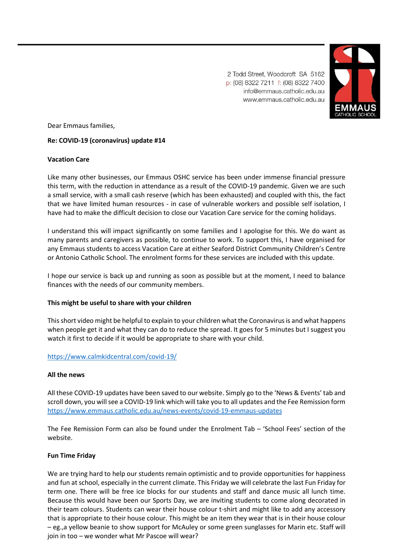

2 Todd Street, Woodcroft SA 5162 p: (08) 8322 7211 f: (08) 8322 7400 info@emmaus.catholic.edu.au www.emmaus.catholic.edu.au

Dear Emmaus families,

# **Re: COVID-19 (coronavirus) update #14**

## **Vacation Care**

Like many other businesses, our Emmaus OSHC service has been under immense financial pressure this term, with the reduction in attendance as a result of the COVID-19 pandemic. Given we are such a small service, with a small cash reserve (which has been exhausted) and coupled with this, the fact that we have limited human resources - in case of vulnerable workers and possible self isolation, I have had to make the difficult decision to close our Vacation Care service for the coming holidays.

I understand this will impact significantly on some families and I apologise for this. We do want as many parents and caregivers as possible, to continue to work. To support this, I have organised for any Emmaus students to access Vacation Care at either Seaford District Community Children's Centre or Antonio Catholic School. The enrolment forms for these services are included with this update.

I hope our service is back up and running as soon as possible but at the moment, I need to balance finances with the needs of our community members.

## **This might be useful to share with your children**

This short video might be helpful to explain to your children what the Coronavirus is and what happens when people get it and what they can do to reduce the spread. It goes for 5 minutes but I suggest you watch it first to decide if it would be appropriate to share with your child.

## <https://www.calmkidcentral.com/covid-19/>

## **All the news**

All these COVID-19 updates have been saved to our website. Simply go to the 'News & Events' tab and scroll down, you will see a COVID-19 link which will take you to all updates and the Fee Remission form <https://www.emmaus.catholic.edu.au/news-events/covid-19-emmaus-updates>

The Fee Remission Form can also be found under the Enrolment Tab – 'School Fees' section of the website.

## **Fun Time Friday**

We are trying hard to help our students remain optimistic and to provide opportunities for happiness and fun at school, especially in the current climate. This Friday we will celebrate the last Fun Friday for term one. There will be free ice blocks for our students and staff and dance music all lunch time. Because this would have been our Sports Day, we are inviting students to come along decorated in their team colours. Students can wear their house colour t-shirt and might like to add any accessory that is appropriate to their house colour. This might be an item they wear that is in their house colour – eg.,a yellow beanie to show support for McAuley or some green sunglasses for Marin etc. Staff will join in too – we wonder what Mr Pascoe will wear?